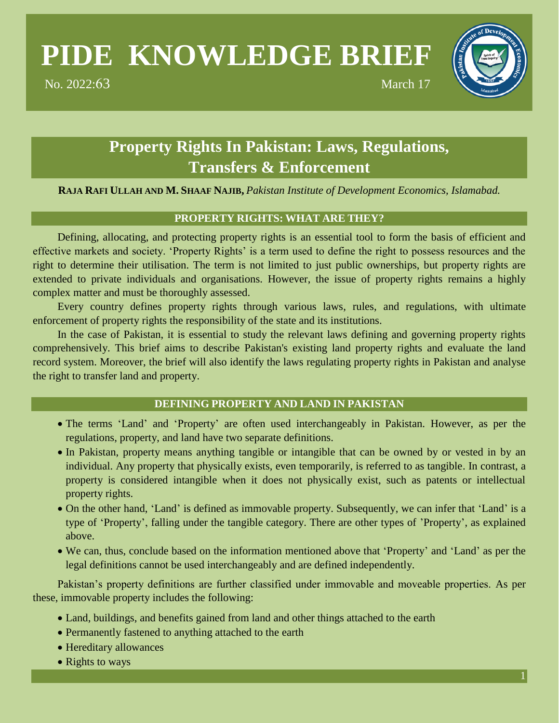**PIDE KNOWLEDGE BRIEF**

No. 2022:63 March 17

**Property Rights In Pakistan: Laws, Regulations, Transfers & Enforcement**

## **RAJA RAFI ULLAH AND M. SHAAF NAJIB,** *Pakistan Institute of Development Economics, Islamabad.*

## **PROPERTY RIGHTS: WHAT ARE THEY?**

Defining, allocating, and protecting property rights is an essential tool to form the basis of efficient and effective markets and society. 'Property Rights' is a term used to define the right to possess resources and the right to determine their utilisation. The term is not limited to just public ownerships, but property rights are extended to private individuals and organisations. However, the issue of property rights remains a highly complex matter and must be thoroughly assessed.

Every country defines property rights through various laws, rules, and regulations, with ultimate enforcement of property rights the responsibility of the state and its institutions.

In the case of Pakistan, it is essential to study the relevant laws defining and governing property rights comprehensively. This brief aims to describe Pakistan's existing land property rights and evaluate the land record system. Moreover, the brief will also identify the laws regulating property rights in Pakistan and analyse the right to transfer land and property.

# **DEFINING PROPERTY AND LAND IN PAKISTAN**

- The terms 'Land' and 'Property' are often used interchangeably in Pakistan. However, as per the regulations, property, and land have two separate definitions.
- In Pakistan, property means anything tangible or intangible that can be owned by or vested in by an individual. Any property that physically exists, even temporarily, is referred to as tangible. In contrast, a property is considered intangible when it does not physically exist, such as patents or intellectual property rights.
- On the other hand, 'Land' is defined as immovable property. Subsequently, we can infer that 'Land' is a type of 'Property', falling under the tangible category. There are other types of 'Property', as explained above.
- We can, thus, conclude based on the information mentioned above that 'Property' and 'Land' as per the legal definitions cannot be used interchangeably and are defined independently.

Pakistan's property definitions are further classified under immovable and moveable properties. As per these, immovable property includes the following:

- Land, buildings, and benefits gained from land and other things attached to the earth
- Permanently fastened to anything attached to the earth
- Hereditary allowances
- Rights to ways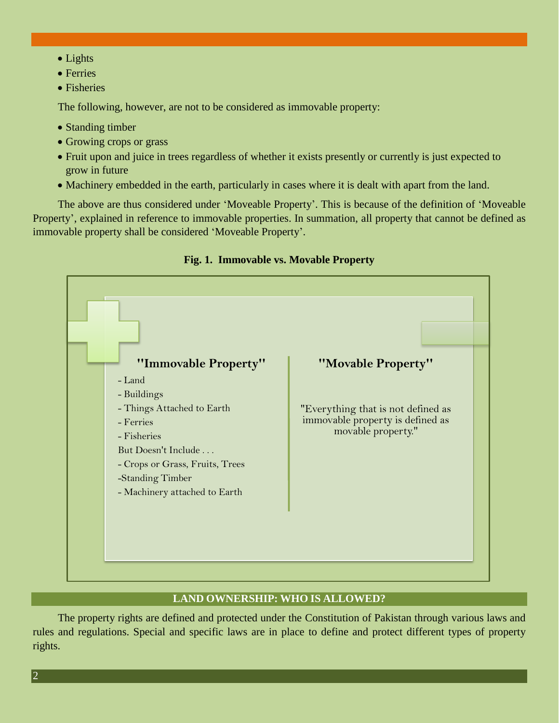- Lights
- Ferries
- Fisheries

The following, however, are not to be considered as immovable property:

- Standing timber
- Growing crops or grass
- Fruit upon and juice in trees regardless of whether it exists presently or currently is just expected to grow in future
- Machinery embedded in the earth, particularly in cases where it is dealt with apart from the land.

The above are thus considered under 'Moveable Property'. This is because of the definition of 'Moveable Property', explained in reference to immovable properties. In summation, all property that cannot be defined as immovable property shall be considered 'Moveable Property'.



# **Fig. 1. Immovable vs. Movable Property**

## **LAND OWNERSHIP: WHO IS ALLOWED?**

The property rights are defined and protected under the Constitution of Pakistan through various laws and rules and regulations. Special and specific laws are in place to define and protect different types of property rights.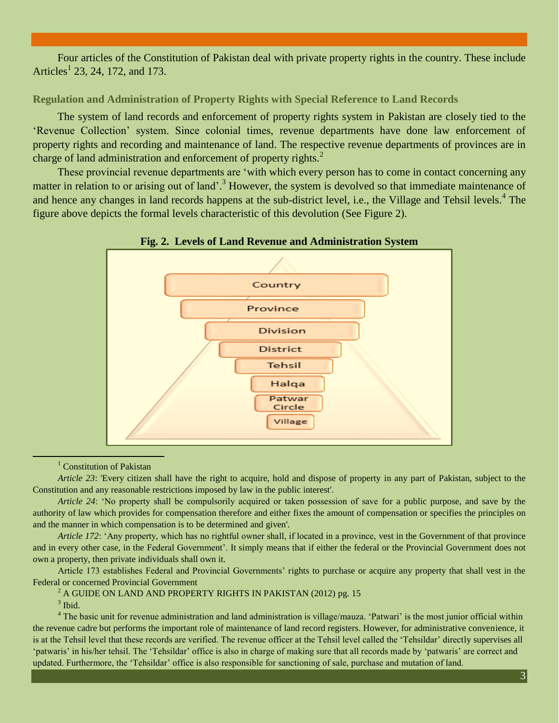Four articles of the Constitution of Pakistan deal with private property rights in the country. These include Articles<sup>1</sup> 23, 24, 172, and 173.

# **Regulation and Administration of Property Rights with Special Reference to Land Records**

The system of land records and enforcement of property rights system in Pakistan are closely tied to the 'Revenue Collection' system. Since colonial times, revenue departments have done law enforcement of property rights and recording and maintenance of land. The respective revenue departments of provinces are in charge of land administration and enforcement of property rights.<sup>2</sup>

These provincial revenue departments are 'with which every person has to come in contact concerning any matter in relation to or arising out of land'.<sup>3</sup> However, the system is devolved so that immediate maintenance of and hence any changes in land records happens at the sub-district level, i.e., the Village and Tehsil levels.<sup>4</sup> The figure above depicts the formal levels characteristic of this devolution (See Figure 2).



**Fig. 2. Levels of Land Revenue and Administration System**

<sup>1</sup> Constitution of Pakistan

*Article 23*: 'Every citizen shall have the right to acquire, hold and dispose of property in any part of Pakistan, subject to the Constitution and any reasonable restrictions imposed by law in the public interest'.

*Article 24*: 'No property shall be compulsorily acquired or taken possession of save for a public purpose, and save by the authority of law which provides for compensation therefore and either fixes the amount of compensation or specifies the principles on and the manner in which compensation is to be determined and given'.

*Article 172*: 'Any property, which has no rightful owner shall, if located in a province, vest in the Government of that province and in every other case, in the Federal Government'. It simply means that if either the federal or the Provincial Government does not own a property, then private individuals shall own it.

Article 173 establishes Federal and Provincial Governments' rights to purchase or acquire any property that shall vest in the Federal or concerned Provincial Government

#### $2^2$  A GUIDE ON LAND AND PROPERTY RIGHTS IN PAKISTAN (2012) pg. 15

 $3$  Ibid.

<sup>4</sup> The basic unit for revenue administration and land administration is village/mauza. 'Patwari' is the most junior official within the revenue cadre but performs the important role of maintenance of land record registers. However, for administrative convenience, it is at the Tehsil level that these records are verified. The revenue officer at the Tehsil level called the 'Tehsildar' directly supervises all 'patwaris' in his/her tehsil. The 'Tehsildar' office is also in charge of making sure that all records made by 'patwaris' are correct and updated. Furthermore, the 'Tehsildar' office is also responsible for sanctioning of sale, purchase and mutation of land.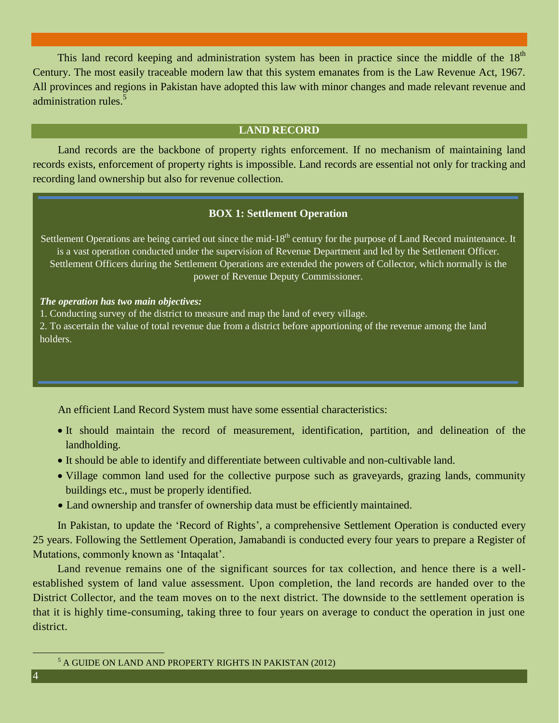This land record keeping and administration system has been in practice since the middle of the 18<sup>th</sup> Century. The most easily traceable modern law that this system emanates from is the Law Revenue Act, 1967. All provinces and regions in Pakistan have adopted this law with minor changes and made relevant revenue and administration rules.<sup>5</sup>

#### **LAND RECORD**

Land records are the backbone of property rights enforcement. If no mechanism of maintaining land records exists, enforcement of property rights is impossible. Land records are essential not only for tracking and recording land ownership but also for revenue collection.

#### **BOX 1: Settlement Operation**

Settlement Operations are being carried out since the mid-18<sup>th</sup> century for the purpose of Land Record maintenance. It is a vast operation conducted under the supervision of Revenue Department and led by the Settlement Officer. Settlement Officers during the Settlement Operations are extended the powers of Collector, which normally is the power of Revenue Deputy Commissioner.

*The operation has two main objectives:* 

1. Conducting survey of the district to measure and map the land of every village.

2. To ascertain the value of total revenue due from a district before apportioning of the revenue among the land holders.

An efficient Land Record System must have some essential characteristics:

- It should maintain the record of measurement, identification, partition, and delineation of the landholding.
- It should be able to identify and differentiate between cultivable and non-cultivable land.
- Village common land used for the collective purpose such as graveyards, grazing lands, community buildings etc., must be properly identified.
- Land ownership and transfer of ownership data must be efficiently maintained.

In Pakistan, to update the 'Record of Rights', a comprehensive Settlement Operation is conducted every 25 years. Following the Settlement Operation, Jamabandi is conducted every four years to prepare a Register of Mutations, commonly known as 'Intaqalat'.

Land revenue remains one of the significant sources for tax collection, and hence there is a wellestablished system of land value assessment. Upon completion, the land records are handed over to the District Collector, and the team moves on to the next district. The downside to the settlement operation is that it is highly time-consuming, taking three to four years on average to conduct the operation in just one district.

 $\overline{a}$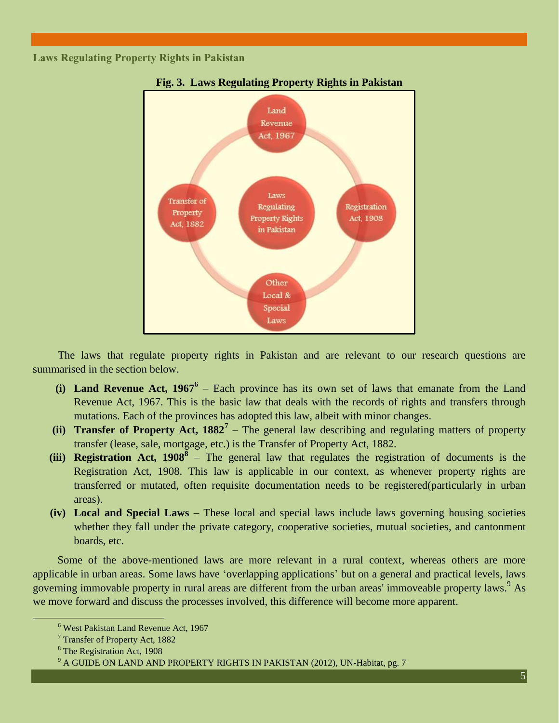**Laws Regulating Property Rights in Pakistan**



# **Fig. 3. Laws Regulating Property Rights in Pakistan**

The laws that regulate property rights in Pakistan and are relevant to our research questions are summarised in the section below.

- **(i) Land Revenue Act, 1967<sup>6</sup>** Each province has its own set of laws that emanate from the Land Revenue Act, 1967. This is the basic law that deals with the records of rights and transfers through mutations. Each of the provinces has adopted this law, albeit with minor changes.
- (ii) **Transfer of Property Act,**  $1882^7$  **The general law describing and regulating matters of property** transfer (lease, sale, mortgage, etc.) is the Transfer of Property Act, 1882.
- **(iii) Registration Act, 1908<sup>8</sup>** The general law that regulates the registration of documents is the Registration Act, 1908. This law is applicable in our context, as whenever property rights are transferred or mutated, often requisite documentation needs to be registered(particularly in urban areas).
- **(iv) Local and Special Laws**  These local and special laws include laws governing housing societies whether they fall under the private category, cooperative societies, mutual societies, and cantonment boards, etc.

Some of the above-mentioned laws are more relevant in a rural context, whereas others are more applicable in urban areas. Some laws have 'overlapping applications' but on a general and practical levels, laws governing immovable property in rural areas are different from the urban areas' immoveable property laws.<sup>9</sup> As we move forward and discuss the processes involved, this difference will become more apparent.

 $\overline{a}$ 

<sup>6</sup> West Pakistan Land Revenue Act, 1967

<sup>7</sup> Transfer of Property Act, 1882

<sup>&</sup>lt;sup>8</sup> The Registration Act, 1908

<sup>&</sup>lt;sup>9</sup> A GUIDE ON LAND AND PROPERTY RIGHTS IN PAKISTAN (2012), UN-Habitat, pg. 7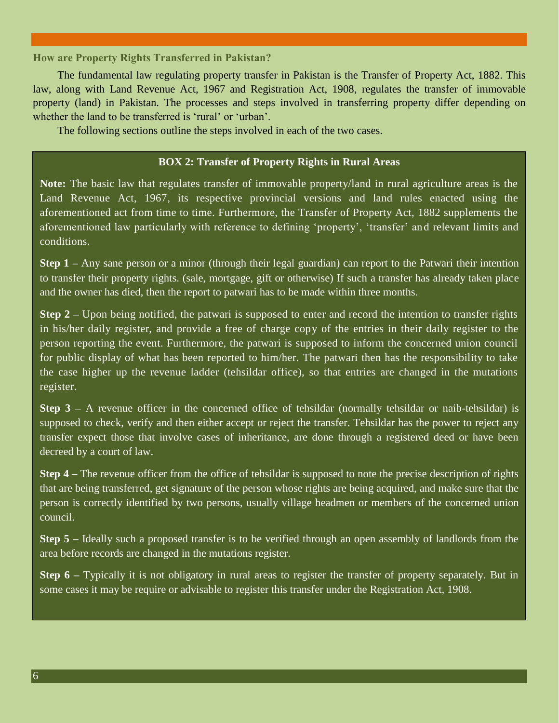**How are Property Rights Transferred in Pakistan?** 

The fundamental law regulating property transfer in Pakistan is the Transfer of Property Act, 1882. This law, along with Land Revenue Act, 1967 and Registration Act, 1908, regulates the transfer of immovable property (land) in Pakistan. The processes and steps involved in transferring property differ depending on whether the land to be transferred is 'rural' or 'urban'.

The following sections outline the steps involved in each of the two cases.

# **BOX 2: Transfer of Property Rights in Rural Areas**

**Note:** The basic law that regulates transfer of immovable property/land in rural agriculture areas is the Land Revenue Act, 1967, its respective provincial versions and land rules enacted using the aforementioned act from time to time. Furthermore, the Transfer of Property Act, 1882 supplements the aforementioned law particularly with reference to defining 'property', 'transfer' and relevant limits and conditions.

**Step 1** – Any sane person or a minor (through their legal guardian) can report to the Patwari their intention to transfer their property rights. (sale, mortgage, gift or otherwise) If such a transfer has already taken place and the owner has died, then the report to patwari has to be made within three months.

**Step 2 –** Upon being notified, the patwari is supposed to enter and record the intention to transfer rights in his/her daily register, and provide a free of charge copy of the entries in their daily register to the person reporting the event. Furthermore, the patwari is supposed to inform the concerned union council for public display of what has been reported to him/her. The patwari then has the responsibility to take the case higher up the revenue ladder (tehsildar office), so that entries are changed in the mutations register.

**Step 3 –** A revenue officer in the concerned office of tehsildar (normally tehsildar or naib-tehsildar) is supposed to check, verify and then either accept or reject the transfer. Tehsildar has the power to reject any transfer expect those that involve cases of inheritance, are done through a registered deed or have been decreed by a court of law.

**Step 4 –** The revenue officer from the office of tehsildar is supposed to note the precise description of rights that are being transferred, get signature of the person whose rights are being acquired, and make sure that the person is correctly identified by two persons, usually village headmen or members of the concerned union council.

**Step 5 –** Ideally such a proposed transfer is to be verified through an open assembly of landlords from the area before records are changed in the mutations register.

**Step 6** – Typically it is not obligatory in rural areas to register the transfer of property separately. But in some cases it may be require or advisable to register this transfer under the Registration Act, 1908.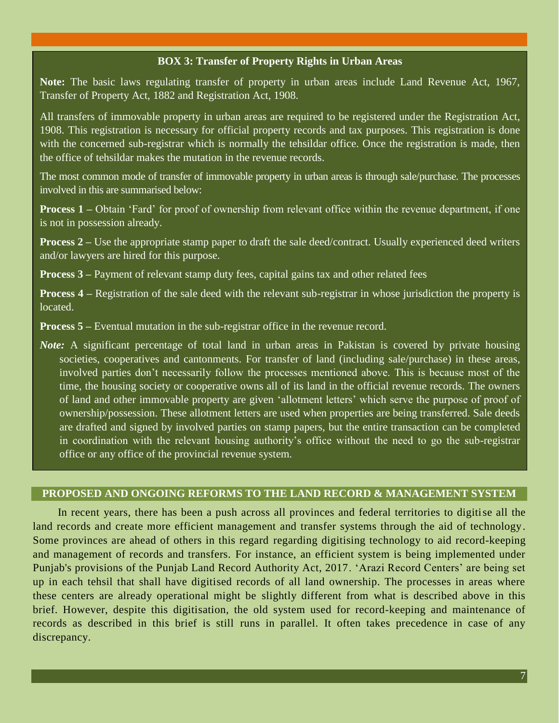## **BOX 3: Transfer of Property Rights in Urban Areas**

**Note:** The basic laws regulating transfer of property in urban areas include Land Revenue Act, 1967, Transfer of Property Act, 1882 and Registration Act, 1908.

All transfers of immovable property in urban areas are required to be registered under the Registration Act, 1908. This registration is necessary for official property records and tax purposes. This registration is done with the concerned sub-registrar which is normally the tehsildar office. Once the registration is made, then the office of tehsildar makes the mutation in the revenue records.

The most common mode of transfer of immovable property in urban areas is through sale/purchase. The processes involved in this are summarised below:

**Process 1** – Obtain 'Fard' for proof of ownership from relevant office within the revenue department, if one is not in possession already.

**Process 2 –** Use the appropriate stamp paper to draft the sale deed/contract. Usually experienced deed writers and/or lawyers are hired for this purpose.

**Process 3 –** Payment of relevant stamp duty fees, capital gains tax and other related fees

**Process 4 –** Registration of the sale deed with the relevant sub-registrar in whose jurisdiction the property is located.

**Process 5 –** Eventual mutation in the sub-registrar office in the revenue record.

*Note*: A significant percentage of total land in urban areas in Pakistan is covered by private housing societies, cooperatives and cantonments. For transfer of land (including sale/purchase) in these areas, involved parties don't necessarily follow the processes mentioned above. This is because most of the time, the housing society or cooperative owns all of its land in the official revenue records. The owners of land and other immovable property are given 'allotment letters' which serve the purpose of proof of ownership/possession. These allotment letters are used when properties are being transferred. Sale deeds are drafted and signed by involved parties on stamp papers, but the entire transaction can be completed in coordination with the relevant housing authority's office without the need to go the sub-registrar office or any office of the provincial revenue system.

## **PROPOSED AND ONGOING REFORMS TO THE LAND RECORD & MANAGEMENT SYSTEM**

In recent years, there has been a push across all provinces and federal territories to digitise all the land records and create more efficient management and transfer systems through the aid of technology. Some provinces are ahead of others in this regard regarding digitising technology to aid record-keeping and management of records and transfers. For instance, an efficient system is being implemented under Punjab's provisions of the Punjab Land Record Authority Act, 2017. 'Arazi Record Centers' are being set up in each tehsil that shall have digitised records of all land ownership. The processes in areas where these centers are already operational might be slightly different from what is described above in this brief. However, despite this digitisation, the old system used for record-keeping and maintenance of records as described in this brief is still runs in parallel. It often takes precedence in case of any discrepancy.